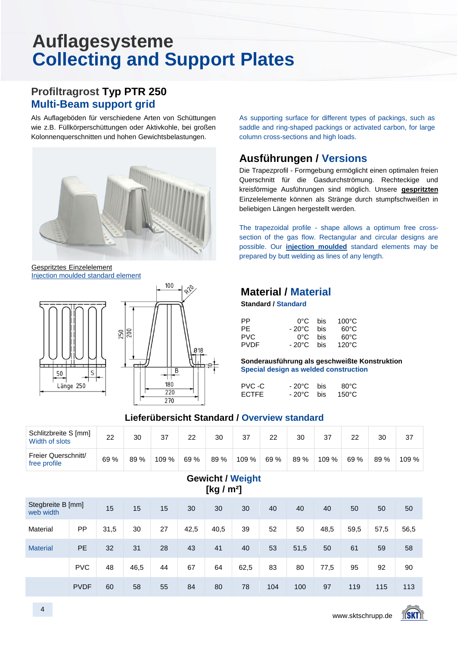#### **Profiltragrost Typ PTR 250 Multi-Beam support grid**

Als Auflageböden für verschiedene Arten von Schüttungen wie z.B. Füllkörperschüttungen oder Aktivkohle, bei großen Kolonnenquerschnitten und hohen Gewichtsbelastungen.



Gespritztes Einzelelement Injection moulded standard element





As supporting surface for different types of packings, such as saddle and ring-shaped packings or activated carbon, for large column cross-sections and high loads.

#### **Ausführungen / Versions**

Die Trapezprofil - Formgebung ermöglicht einen optimalen freien Querschnitt für die Gasdurchströmung. Rechteckige und kreisförmige Ausführungen sind möglich. Unsere **gespritzten** Einzelelemente können als Stränge durch stumpfschweißen in beliebigen Längen hergestellt werden.

The trapezoidal profile - shape allows a optimum free crosssection of the gas flow. Rectangular and circular designs are possible. Our **injection moulded** standard elements may be prepared by butt welding as lines of any length.

#### **Material / Material**

 **Standard / Standard**

| РP          | 0°C.      | <b>bis</b> | $100^{\circ}$ C |
|-------------|-----------|------------|-----------------|
| PF          | - 20°C. - | bis        | െറ              |
| PVC.        | በ°C       | <b>bis</b> | െറ              |
| <b>PVDF</b> | - 20°C.   | <b>bis</b> | 120°C           |

 **Sonderausführung als geschweißte Konstruktion Special design as welded construction**

| PVC -C       | $-20^{\circ}$ C bis | 80°C            |
|--------------|---------------------|-----------------|
| <b>ECTFE</b> | $-20^{\circ}$ C bis | $150^{\circ}$ C |

#### **Lieferübersicht Standard / Overview standard**

| Schlitzbreite S [mm]<br>Width of slots | 22   | 30   | 37    | 22   | 30   | 37    | 22   | 30   | 37    | 22   | 30   | 37    |
|----------------------------------------|------|------|-------|------|------|-------|------|------|-------|------|------|-------|
| Freier Querschnitt/<br>free profile    | 69 % | 89 % | 109 % | 69 % | 89 % | 109 % | 69 % | 89 % | 109 % | 69 % | 89 % | 109 % |

**Gewicht / Weight**

|                                | <b>OVWIVIII</b> TIVIYIII<br>[kg / $m^2$ ] |      |      |    |      |      |      |     |      |      |      |      |      |  |  |
|--------------------------------|-------------------------------------------|------|------|----|------|------|------|-----|------|------|------|------|------|--|--|
| Stegbreite B [mm]<br>web width |                                           | 15   | 15   | 15 | 30   | 30   | 30   | 40  | 40   | 40   | 50   | 50   | 50   |  |  |
| Material                       | PP                                        | 31,5 | 30   | 27 | 42,5 | 40,5 | 39   | 52  | 50   | 48,5 | 59,5 | 57,5 | 56,5 |  |  |
| <b>Material</b>                | PE                                        | 32   | 31   | 28 | 43   | 41   | 40   | 53  | 51,5 | 50   | 61   | 59   | 58   |  |  |
|                                | <b>PVC</b>                                | 48   | 46,5 | 44 | 67   | 64   | 62,5 | 83  | 80   | 77,5 | 95   | 92   | 90   |  |  |
|                                | <b>PVDF</b>                               | 60   | 58   | 55 | 84   | 80   | 78   | 104 | 100  | 97   | 119  | 115  | 113  |  |  |

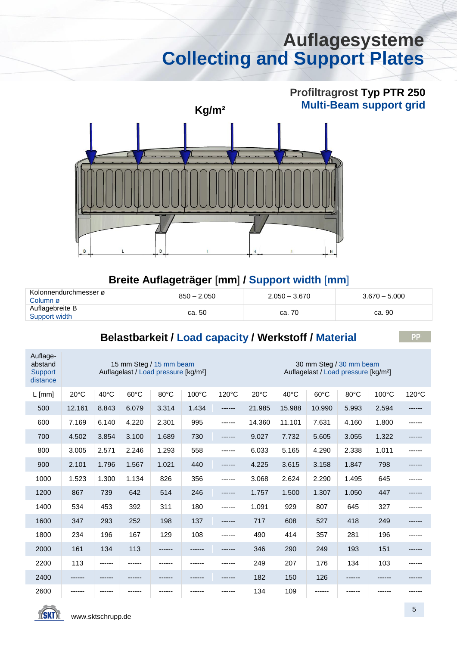# **Profiltragrost Typ PTR 250**



#### **Breite Auflageträger** [**mm**] **/ Support width** [**mm**]

| ∴ Kolonnendurchmesser ø<br>Column ø | $850 - 2.050$ | $2.050 - 3.670$ | $3.670 - 5.000$ |  |  |
|-------------------------------------|---------------|-----------------|-----------------|--|--|
| Auflagebreite B<br>Support width    | ca. 50        | ca. 70          | ca. 90          |  |  |

#### **Belastbarkeit / Load capacity / Werkstoff / Material**

| Auflage-<br>abstand<br>Support<br>distance | 15 mm Steg / 15 mm beam<br>Auflagelast / Load pressure [kg/m <sup>2</sup> ] |                |                |        |       |        |                | 30 mm Steg / 30 mm beam<br>Auflagelast / Load pressure [kg/m <sup>2</sup> ] |                |       |       |        |  |  |
|--------------------------------------------|-----------------------------------------------------------------------------|----------------|----------------|--------|-------|--------|----------------|-----------------------------------------------------------------------------|----------------|-------|-------|--------|--|--|
| $L$ [mm]                                   | $20^{\circ}$ C                                                              | $40^{\circ}$ C | $60^{\circ}$ C | 80°C   | 100°C | 120°C  | $20^{\circ}$ C | 40°C                                                                        | $60^{\circ}$ C | 80°C  | 100°C | 120°C  |  |  |
| 500                                        | 12.161                                                                      | 8.843          | 6.079          | 3.314  | 1.434 | ------ | 21.985         | 15.988                                                                      | 10.990         | 5.993 | 2.594 | ------ |  |  |
| 600                                        | 7.169                                                                       | 6.140          | 4.220          | 2.301  | 995   | ------ | 14.360         | 11.101                                                                      | 7.631          | 4.160 | 1.800 | ------ |  |  |
| 700                                        | 4.502                                                                       | 3.854          | 3.100          | 1.689  | 730   | ------ | 9.027          | 7.732                                                                       | 5.605          | 3.055 | 1.322 | ------ |  |  |
| 800                                        | 3.005                                                                       | 2.571          | 2.246          | 1.293  | 558   |        | 6.033          | 5.165                                                                       | 4.290          | 2.338 | 1.011 |        |  |  |
| 900                                        | 2.101                                                                       | 1.796          | 1.567          | 1.021  | 440   |        | 4.225          | 3.615                                                                       | 3.158          | 1.847 | 798   |        |  |  |
| 1000                                       | 1.523                                                                       | 1.300          | 1.134          | 826    | 356   |        | 3.068          | 2.624                                                                       | 2.290          | 1.495 | 645   |        |  |  |
| 1200                                       | 867                                                                         | 739            | 642            | 514    | 246   | ------ | 1.757          | 1.500                                                                       | 1.307          | 1.050 | 447   | ------ |  |  |
| 1400                                       | 534                                                                         | 453            | 392            | 311    | 180   | ------ | 1.091          | 929                                                                         | 807            | 645   | 327   |        |  |  |
| 1600                                       | 347                                                                         | 293            | 252            | 198    | 137   |        | 717            | 608                                                                         | 527            | 418   | 249   |        |  |  |
| 1800                                       | 234                                                                         | 196            | 167            | 129    | 108   | ------ | 490            | 414                                                                         | 357            | 281   | 196   |        |  |  |
| 2000                                       | 161                                                                         | 134            | 113            | ------ |       |        | 346            | 290                                                                         | 249            | 193   | 151   |        |  |  |
| 2200                                       | 113                                                                         | ------         |                |        |       |        | 249            | 207                                                                         | 176            | 134   | 103   |        |  |  |
| 2400                                       |                                                                             |                |                |        |       |        | 182            | 150                                                                         | 126            |       |       |        |  |  |
| 2600                                       |                                                                             |                |                |        |       |        | 134            | 109                                                                         |                |       |       |        |  |  |

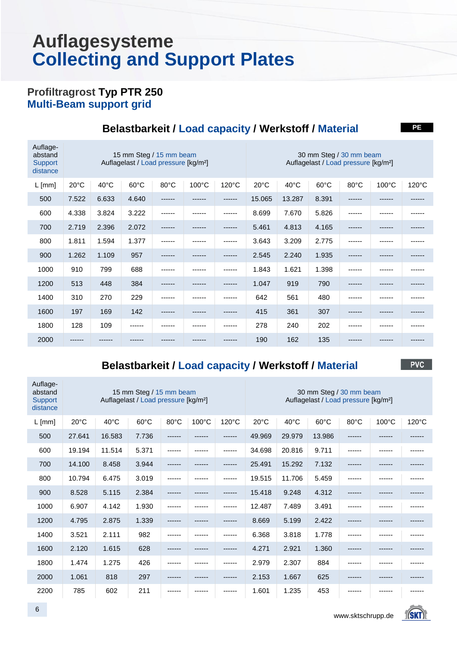#### **Profiltragrost Typ PTR 250 Multi-Beam support grid**

| Auflage-<br>abstand<br>Support<br>distance |                |       | 15 mm Steg / 15 mm beam<br>Auflagelast / Load pressure [kg/m <sup>2</sup> ] |                |                 | 30 mm Steg / 30 mm beam<br>Auflagelast / Load pressure [kg/m <sup>2</sup> ] |                |                |                |                |                 |                 |
|--------------------------------------------|----------------|-------|-----------------------------------------------------------------------------|----------------|-----------------|-----------------------------------------------------------------------------|----------------|----------------|----------------|----------------|-----------------|-----------------|
| $L$ [mm]                                   | $20^{\circ}$ C | 40°C  | $60^{\circ}$ C                                                              | $80^{\circ}$ C | $100^{\circ}$ C | $120^{\circ}$ C                                                             | $20^{\circ}$ C | $40^{\circ}$ C | $60^{\circ}$ C | $80^{\circ}$ C | $100^{\circ}$ C | $120^{\circ}$ C |
| 500                                        | 7.522          | 6.633 | 4.640                                                                       | ------         |                 | ------                                                                      | 15.065         | 13.287         | 8.391          | ------         |                 |                 |
| 600                                        | 4.338          | 3.824 | 3.222                                                                       |                |                 |                                                                             | 8.699          | 7.670          | 5.826          |                |                 |                 |
| 700                                        | 2.719          | 2.396 | 2.072                                                                       | ------         |                 | ------                                                                      | 5.461          | 4.813          | 4.165          | ------         |                 |                 |
| 800                                        | 1.811          | 1.594 | 1.377                                                                       |                |                 | ------                                                                      | 3.643          | 3.209          | 2.775          |                |                 |                 |
| 900                                        | 1.262          | 1.109 | 957                                                                         | ------         |                 | ------                                                                      | 2.545          | 2.240          | 1.935          | ------         |                 |                 |
| 1000                                       | 910            | 799   | 688                                                                         | ------         |                 | ------                                                                      | 1.843          | 1.621          | 1.398          |                |                 |                 |
| 1200                                       | 513            | 448   | 384                                                                         | ------         |                 | ------                                                                      | 1.047          | 919            | 790            | ------         |                 |                 |
| 1400                                       | 310            | 270   | 229                                                                         | ------         |                 | ------                                                                      | 642            | 561            | 480            | ------         |                 |                 |
| 1600                                       | 197            | 169   | 142                                                                         | ------         |                 | ------                                                                      | 415            | 361            | 307            | ------         |                 |                 |
| 1800                                       | 128            | 109   |                                                                             |                |                 |                                                                             | 278            | 240            | 202            |                |                 |                 |
| 2000                                       | ------         |       |                                                                             |                |                 |                                                                             | 190            | 162            | 135            |                |                 |                 |

#### **Belastbarkeit / Load capacity / Werkstoff / Material**

**Belastbarkeit / Load capacity / Werkstoff / Material**

**PVC** 

**PE**

| Auflage-<br>abstand<br>Support<br>distance |                |        | 15 mm Steg / 15 mm beam<br>Auflagelast / Load pressure [kg/m <sup>2</sup> ] |        |       | 30 mm Steg / 30 mm beam<br>Auflagelast / Load pressure [kg/m <sup>2</sup> ] |        |                |                |                |       |                 |  |
|--------------------------------------------|----------------|--------|-----------------------------------------------------------------------------|--------|-------|-----------------------------------------------------------------------------|--------|----------------|----------------|----------------|-------|-----------------|--|
| $L$ [mm]                                   | $20^{\circ}$ C | 40°C   | $60^{\circ}$ C                                                              | 80°C   | 100°C | 120°C                                                                       | 20°C   | $40^{\circ}$ C | $60^{\circ}$ C | $80^{\circ}$ C | 100°C | $120^{\circ}$ C |  |
| 500                                        | 27.641         | 16.583 | 7.736                                                                       |        |       |                                                                             | 49.969 | 29.979         | 13.986         |                |       |                 |  |
| 600                                        | 19.194         | 11.514 | 5.371                                                                       | ------ |       |                                                                             | 34.698 | 20.816         | 9.711          | ------         |       |                 |  |
| 700                                        | 14.100         | 8.458  | 3.944                                                                       |        |       |                                                                             | 25.491 | 15.292         | 7.132          |                |       |                 |  |
| 800                                        | 10.794         | 6.475  | 3.019                                                                       | ------ |       |                                                                             | 19.515 | 11.706         | 5.459          |                |       |                 |  |
| 900                                        | 8.528          | 5.115  | 2.384                                                                       |        |       |                                                                             | 15.418 | 9.248          | 4.312          |                |       |                 |  |
| 1000                                       | 6.907          | 4.142  | 1.930                                                                       | ------ |       | ------                                                                      | 12.487 | 7.489          | 3.491          |                |       |                 |  |
| 1200                                       | 4.795          | 2.875  | 1.339                                                                       | ------ |       |                                                                             | 8.669  | 5.199          | 2.422          |                |       |                 |  |
| 1400                                       | 3.521          | 2.111  | 982                                                                         | ------ |       | ------                                                                      | 6.368  | 3.818          | 1.778          |                |       |                 |  |
| 1600                                       | 2.120          | 1.615  | 628                                                                         | ------ |       | ------                                                                      | 4.271  | 2.921          | 1.360          |                |       |                 |  |
| 1800                                       | 1.474          | 1.275  | 426                                                                         | ------ |       |                                                                             | 2.979  | 2.307          | 884            |                |       |                 |  |
| 2000                                       | 1.061          | 818    | 297                                                                         |        |       |                                                                             | 2.153  | 1.667          | 625            |                |       |                 |  |
| 2200                                       | 785            | 602    | 211                                                                         |        |       |                                                                             | 1.601  | 1.235          | 453            |                |       |                 |  |